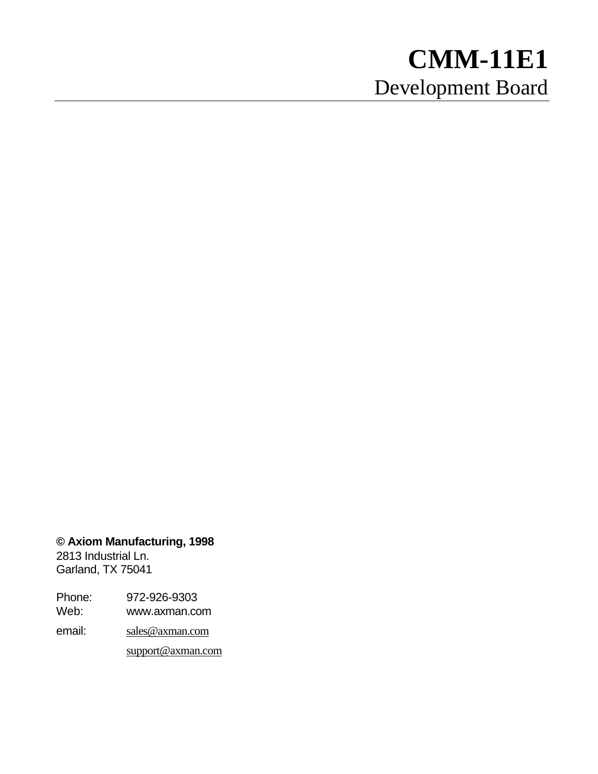# **CMM-11E1** Development Board

**© Axiom Manufacturing, 1998**

2813 Industrial Ln. Garland, TX 75041

Phone: 972-926-9303

Web: www.axman.com

email: sales@axman.com

support@axman.com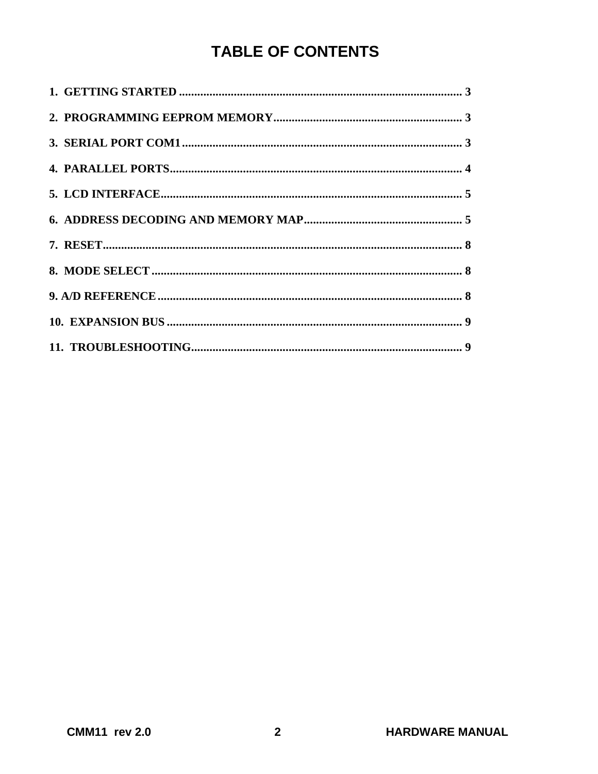## **TABLE OF CONTENTS**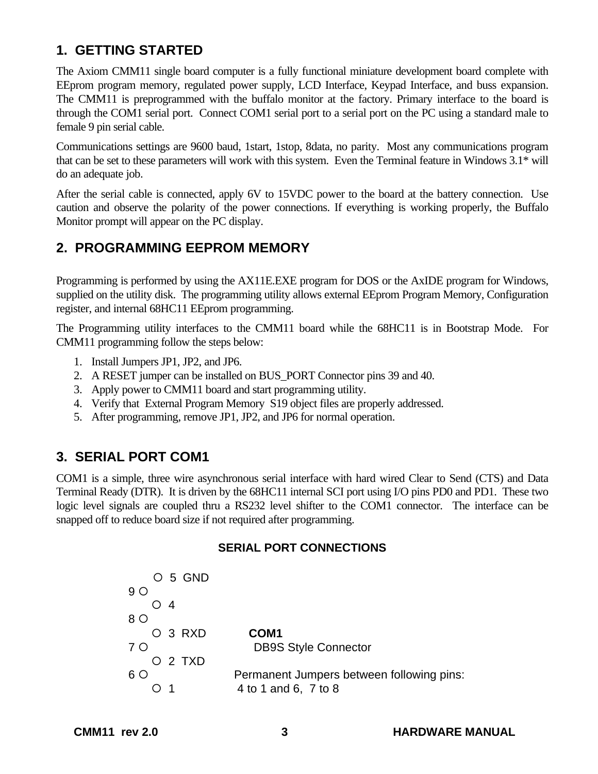## **1. GETTING STARTED**

The Axiom CMM11 single board computer is a fully functional miniature development board complete with EEprom program memory, regulated power supply, LCD Interface, Keypad Interface, and buss expansion. The CMM11 is preprogrammed with the buffalo monitor at the factory. Primary interface to the board is through the COM1 serial port. Connect COM1 serial port to a serial port on the PC using a standard male to female 9 pin serial cable.

Communications settings are 9600 baud, 1start, 1stop, 8data, no parity. Most any communications program that can be set to these parameters will work with this system. Even the Terminal feature in Windows 3.1\* will do an adequate job.

After the serial cable is connected, apply 6V to 15VDC power to the board at the battery connection. Use caution and observe the polarity of the power connections. If everything is working properly, the Buffalo Monitor prompt will appear on the PC display.

## **2. PROGRAMMING EEPROM MEMORY**

Programming is performed by using the AX11E.EXE program for DOS or the AxIDE program for Windows, supplied on the utility disk. The programming utility allows external EEprom Program Memory, Configuration register, and internal 68HC11 EEprom programming.

The Programming utility interfaces to the CMM11 board while the 68HC11 is in Bootstrap Mode. For CMM11 programming follow the steps below:

- 1. Install Jumpers JP1, JP2, and JP6.
- 2. A RESET jumper can be installed on BUS\_PORT Connector pins 39 and 40.
- 3. Apply power to CMM11 board and start programming utility.
- 4. Verify that External Program Memory S19 object files are properly addressed.
- 5. After programming, remove JP1, JP2, and JP6 for normal operation.

## **3. SERIAL PORT COM1**

COM1 is a simple, three wire asynchronous serial interface with hard wired Clear to Send (CTS) and Data Terminal Ready (DTR). It is driven by the 68HC11 internal SCI port using I/O pins PD0 and PD1. These two logic level signals are coupled thru a RS232 level shifter to the COM1 connector. The interface can be snapped off to reduce board size if not required after programming.

#### **SERIAL PORT CONNECTIONS**

|     | O 5 GND |                                           |
|-----|---------|-------------------------------------------|
| 9 O |         |                                           |
|     | O 4     |                                           |
| 8 O |         |                                           |
|     | O 3 RXD | COM <sub>1</sub>                          |
| 7 O |         | <b>DB9S Style Connector</b>               |
|     | O 2 TXD |                                           |
| 6 O |         | Permanent Jumpers between following pins: |
|     |         | 4 to 1 and 6, 7 to 8                      |
|     |         |                                           |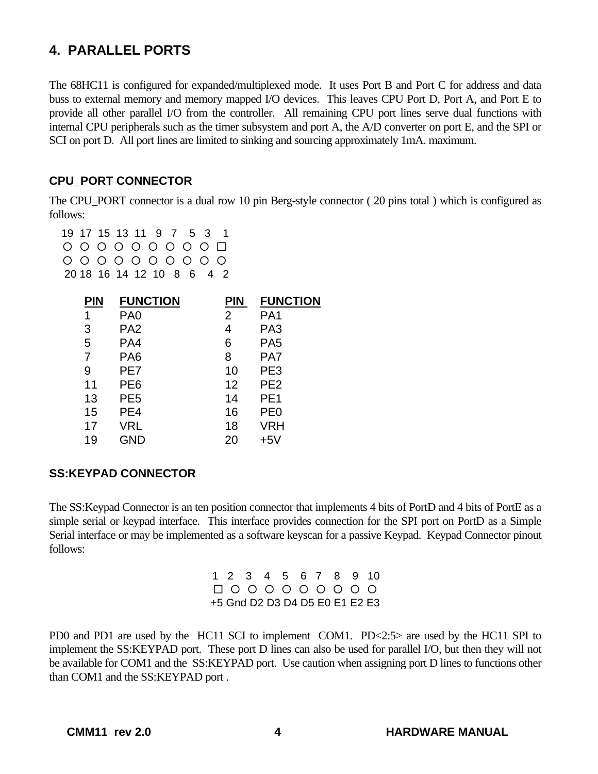## **4. PARALLEL PORTS**

The 68HC11 is configured for expanded/multiplexed mode. It uses Port B and Port C for address and data buss to external memory and memory mapped I/O devices. This leaves CPU Port D, Port A, and Port E to provide all other parallel I/O from the controller. All remaining CPU port lines serve dual functions with internal CPU peripherals such as the timer subsystem and port A, the A/D converter on port E, and the SPI or SCI on port D. All port lines are limited to sinking and sourcing approximately 1mA. maximum.

#### **CPU\_PORT CONNECTOR**

The CPU PORT connector is a dual row 10 pin Berg-style connector (20 pins total) which is configured as follows:

 19 17 15 13 11 9 7 5 3 1  $0&0&0&0&0&0&0&0&\square \end{array}$  $0.0.0.0.0.0.0.0.0.0$ 20 18 16 14 12 10 8 6 4 2

| PIN | <b>FUNCTION</b> | <b>PIN</b>     | <b>FUNCTION</b> |
|-----|-----------------|----------------|-----------------|
| 1   | PA <sub>0</sub> | $\overline{2}$ | PA <sub>1</sub> |
| 3   | PA <sub>2</sub> | 4              | PA <sub>3</sub> |
| 5   | PA4             | 6              | PA <sub>5</sub> |
| 7   | PA <sub>6</sub> | 8              | PA7             |
| 9   | PE7             | 10             | PE <sub>3</sub> |
| 11  | PE6             | 12             | PE <sub>2</sub> |
| 13  | PE <sub>5</sub> | 14             | PE <sub>1</sub> |
| 15  | PE4             | 16             | PE <sub>0</sub> |
| 17  | VRL             | 18             | VRH             |
| 19  | GND             | 20             | $+5V$           |

#### **SS:KEYPAD CONNECTOR**

The SS:Keypad Connector is an ten position connector that implements 4 bits of PortD and 4 bits of PortE as a simple serial or keypad interface. This interface provides connection for the SPI port on PortD as a Simple Serial interface or may be implemented as a software keyscan for a passive Keypad. Keypad Connector pinout follows:

> 1 2 3 4 5 6 7 8 9 10  $\Box\circ\circ\circ\circ\circ\circ\circ\circ\circ$ +5 Gnd D2 D3 D4 D5 E0 E1 E2 E3

PD0 and PD1 are used by the HC11 SCI to implement COM1. PD<2:5> are used by the HC11 SPI to implement the SS:KEYPAD port. These port D lines can also be used for parallel I/O, but then they will not be available for COM1 and the SS:KEYPAD port. Use caution when assigning port D lines to functions other than COM1 and the SS:KEYPAD port .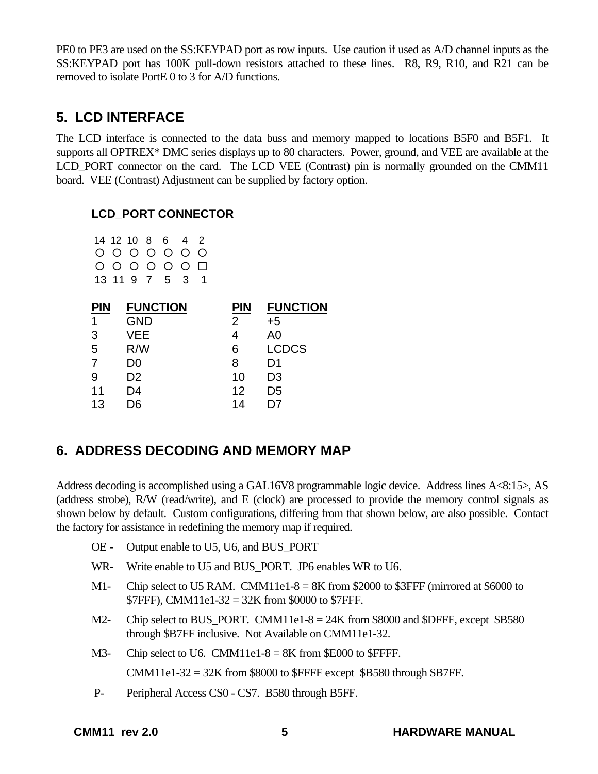PE0 to PE3 are used on the SS:KEYPAD port as row inputs. Use caution if used as A/D channel inputs as the SS:KEYPAD port has 100K pull-down resistors attached to these lines. R8, R9, R10, and R21 can be removed to isolate PortE 0 to 3 for A/D functions.

#### **5. LCD INTERFACE**

The LCD interface is connected to the data buss and memory mapped to locations B5F0 and B5F1. It supports all OPTREX\* DMC series displays up to 80 characters. Power, ground, and VEE are available at the LCD\_PORT connector on the card. The LCD VEE (Contrast) pin is normally grounded on the CMM11 board. VEE (Contrast) Adjustment can be supplied by factory option.

#### **LCD\_PORT CONNECTOR**

|  |  | 14 12 10 8 6 4 2 |  |
|--|--|------------------|--|
|  |  | 0 0 0 0 0 0 0    |  |
|  |  | 0 0 0 0 0 0 0    |  |
|  |  | 13 11 9 7 5 3 1  |  |

| <b>FUNCTION</b> | <b>PIN</b> | <b>FUNCTION</b> |
|-----------------|------------|-----------------|
| <b>GND</b>      | 2          | $+5$            |
| VEE             |            | A <sub>0</sub>  |
| R/W             | 6          | <b>LCDCS</b>    |
| D0              | 8          | D1              |
| D <sub>2</sub>  | 10         | D <sub>3</sub>  |
| D4              | 12         | D <sub>5</sub>  |
| ገ6              | 14         |                 |
|                 |            |                 |

## **6. ADDRESS DECODING AND MEMORY MAP**

Address decoding is accomplished using a GAL16V8 programmable logic device. Address lines A<8:15>, AS (address strobe), R/W (read/write), and E (clock) are processed to provide the memory control signals as shown below by default. Custom configurations, differing from that shown below, are also possible. Contact the factory for assistance in redefining the memory map if required.

- OE Output enable to U5, U6, and BUS\_PORT
- WR- Write enable to U5 and BUS PORT. JP6 enables WR to U6.
- M1- Chip select to U5 RAM. CMM11e1-8 =  $8K$  from \$2000 to \$3FFF (mirrored at \$6000 to \$7FFF), CMM11e1-32 = 32K from \$0000 to \$7FFF.
- M2- Chip select to BUS PORT. CMM11e1-8  $= 24K$  from \$8000 and \$DFFF, except \$B580 through \$B7FF inclusive. Not Available on CMM11e1-32.
- M3- Chip select to U6. CMM11e1-8 =  $8K$  from \$E000 to \$FFFF.

CMM11e1-32 = 32K from \$8000 to \$FFFF except \$B580 through \$B7FF.

P- Peripheral Access CS0 - CS7. B580 through B5FF.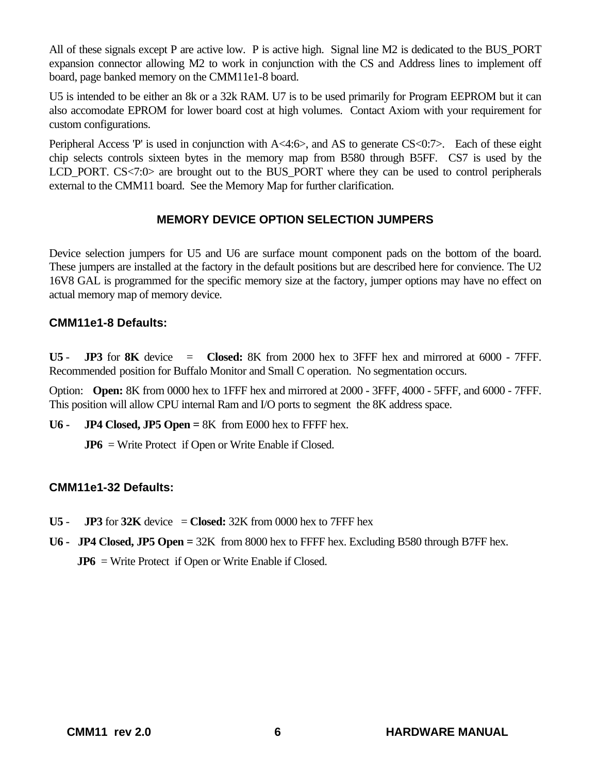All of these signals except P are active low. P is active high. Signal line M2 is dedicated to the BUS\_PORT expansion connector allowing M2 to work in conjunction with the CS and Address lines to implement off board, page banked memory on the CMM11e1-8 board.

U5 is intended to be either an 8k or a 32k RAM. U7 is to be used primarily for Program EEPROM but it can also accomodate EPROM for lower board cost at high volumes. Contact Axiom with your requirement for custom configurations.

Peripheral Access 'P' is used in conjunction with A<4:6>, and AS to generate CS<0:7>. Each of these eight chip selects controls sixteen bytes in the memory map from B580 through B5FF. CS7 is used by the LCD\_PORT. CS<7:0> are brought out to the BUS\_PORT where they can be used to control peripherals external to the CMM11 board. See the Memory Map for further clarification.

#### **MEMORY DEVICE OPTION SELECTION JUMPERS**

Device selection jumpers for U5 and U6 are surface mount component pads on the bottom of the board. These jumpers are installed at the factory in the default positions but are described here for convience. The U2 16V8 GAL is programmed for the specific memory size at the factory, jumper options may have no effect on actual memory map of memory device.

#### **CMM11e1-8 Defaults:**

**U5** - **JP3** for **8K** device = **Closed:** 8K from 2000 hex to 3FFF hex and mirrored at 6000 - 7FFF. Recommended position for Buffalo Monitor and Small C operation. No segmentation occurs.

Option: **Open:** 8K from 0000 hex to 1FFF hex and mirrored at 2000 - 3FFF, 4000 - 5FFF, and 6000 - 7FFF. This position will allow CPU internal Ram and I/O ports to segment the 8K address space.

**U6 - JP4 Closed, JP5 Open =** 8K from E000 hex to FFFF hex.

**JP6** = Write Protect if Open or Write Enable if Closed.

#### **CMM11e1-32 Defaults:**

- **U5 JP3** for **32K** device  $=$  **Closed:** 32K from 0000 hex to 7FFF hex
- **U6 JP4 Closed, JP5 Open =** 32K from 8000 hex to FFFF hex. Excluding B580 through B7FF hex. **JP6** = Write Protect if Open or Write Enable if Closed.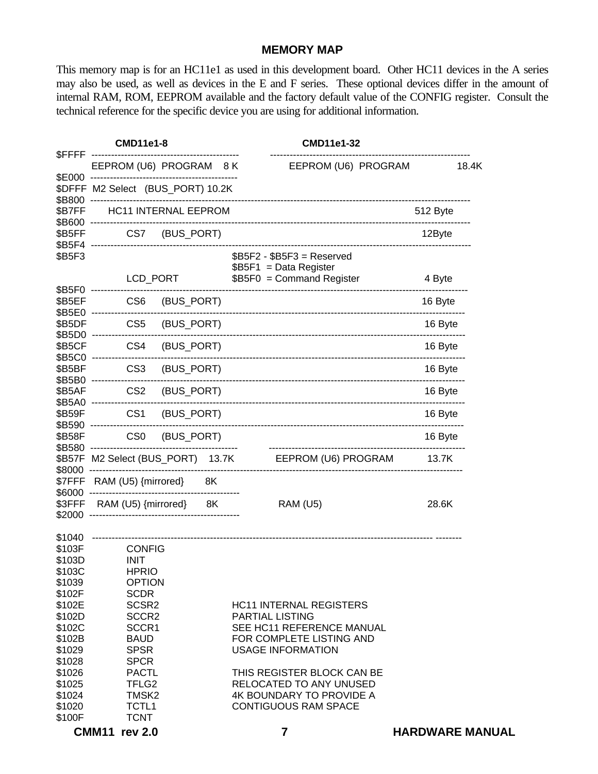#### **MEMORY MAP**

This memory map is for an HC11e1 as used in this development board. Other HC11 devices in the A series may also be used, as well as devices in the E and F series. These optional devices differ in the amount of internal RAM, ROM, EEPROM available and the factory default value of the CONFIG register. Consult the technical reference for the specific device you are using for additional information.

|                                                          | <b>CMD11e1-8</b>  |                                                                                               |          |            | <b>CMD11e1-32</b> |  |                                                                                                                                               |  |          |                        |
|----------------------------------------------------------|-------------------|-----------------------------------------------------------------------------------------------|----------|------------|-------------------|--|-----------------------------------------------------------------------------------------------------------------------------------------------|--|----------|------------------------|
| <b>SFFFF</b>                                             |                   | EEPROM (U6) PROGRAM 8 K                                                                       |          |            |                   |  | EEPROM (U6) PROGRAM                                                                                                                           |  |          | 18.4K                  |
| \$E000<br>\$B800                                         | $- - - - - -$     | \$DFFF M2 Select (BUS_PORT) 10.2K                                                             |          |            |                   |  |                                                                                                                                               |  |          |                        |
| \$B7FF                                                   |                   | <b>HC11 INTERNAL EEPROM</b>                                                                   |          |            |                   |  |                                                                                                                                               |  | 512 Byte |                        |
| \$B600 --<br>\$B5FF                                      |                   | CS7 (BUS_PORT)                                                                                |          |            |                   |  |                                                                                                                                               |  | 12Byte   |                        |
| \$B5F4<br>\$B5F3                                         |                   |                                                                                               |          |            |                   |  | $$B5F2 - $B5F3 =$ Reserved<br>\$B5F1 = Data Register                                                                                          |  |          |                        |
|                                                          |                   |                                                                                               | LCD_PORT |            |                   |  | $$B5F0 = Command Register$                                                                                                                    |  | 4 Byte   |                        |
| \$B5F0 --------<br>\$B5EF<br>\$B5E0 --------             |                   | CS <sub>6</sub>                                                                               |          | (BUS_PORT) |                   |  |                                                                                                                                               |  | 16 Byte  |                        |
| \$B5DF                                                   | \$B5D0 ---------  | CS <sub>5</sub>                                                                               |          | (BUS_PORT) |                   |  |                                                                                                                                               |  | 16 Byte  |                        |
| \$B5CF                                                   | \$B5C0 --------   | CS4                                                                                           |          | (BUS_PORT) |                   |  |                                                                                                                                               |  | 16 Byte  |                        |
| \$B5BF                                                   | \$B5B0 ---------  | CS <sub>3</sub>                                                                               |          | (BUS_PORT) |                   |  |                                                                                                                                               |  | 16 Byte  |                        |
| \$B5AF                                                   |                   | CS <sub>2</sub>                                                                               |          | (BUS_PORT) |                   |  |                                                                                                                                               |  | 16 Byte  |                        |
| \$B59F                                                   | \$B5A0 ---------- | CS <sub>1</sub>                                                                               |          | (BUS_PORT) |                   |  |                                                                                                                                               |  | 16 Byte  |                        |
| \$B590<br>\$B58F                                         | ----------        | CS <sub>0</sub>                                                                               |          | (BUS_PORT) |                   |  |                                                                                                                                               |  | 16 Byte  |                        |
| \$B580<br>\$B57F                                         | ----------        |                                                                                               |          |            |                   |  | M2 Select (BUS_PORT) 13.7K EEPROM (U6) PROGRAM                                                                                                |  | 13.7K    |                        |
| \$8000<br>\$7FFF                                         |                   | RAM (U5) {mirrored}                                                                           |          | 8K         |                   |  |                                                                                                                                               |  |          |                        |
| \$6000<br>\$3FFF                                         |                   | RAM (U5) {mirrored} 8K                                                                        |          |            |                   |  | <b>RAM (U5)</b>                                                                                                                               |  | 28.6K    |                        |
| \$2000                                                   |                   |                                                                                               |          |            |                   |  |                                                                                                                                               |  |          |                        |
| \$1040<br>\$103F<br>\$103D<br>\$103C<br>\$1039           |                   | <b>CONFIG</b><br><b>INIT</b><br><b>HPRIO</b><br><b>OPTION</b>                                 |          |            |                   |  |                                                                                                                                               |  |          |                        |
| \$102F<br>\$102E<br>\$102D<br>\$102C<br>\$102B<br>\$1029 |                   | <b>SCDR</b><br>SCSR <sub>2</sub><br>SCCR <sub>2</sub><br>SCCR1<br><b>BAUD</b><br><b>SPSR</b>  |          |            |                   |  | <b>HC11 INTERNAL REGISTERS</b><br><b>PARTIAL LISTING</b><br>SEE HC11 REFERENCE MANUAL<br>FOR COMPLETE LISTING AND<br><b>USAGE INFORMATION</b> |  |          |                        |
| \$1028<br>\$1026<br>\$1025<br>\$1024<br>\$1020<br>\$100F |                   | <b>SPCR</b><br><b>PACTL</b><br>TFLG <sub>2</sub><br>TMSK <sub>2</sub><br>TCTL1<br><b>TCNT</b> |          |            |                   |  | THIS REGISTER BLOCK CAN BE<br><b>RELOCATED TO ANY UNUSED</b><br><b>4K BOUNDARY TO PROVIDE A</b><br><b>CONTIGUOUS RAM SPACE</b>                |  |          |                        |
|                                                          |                   | <b>CMM11 rev 2.0</b>                                                                          |          |            |                   |  | 7                                                                                                                                             |  |          | <b>HARDWARE MANUAL</b> |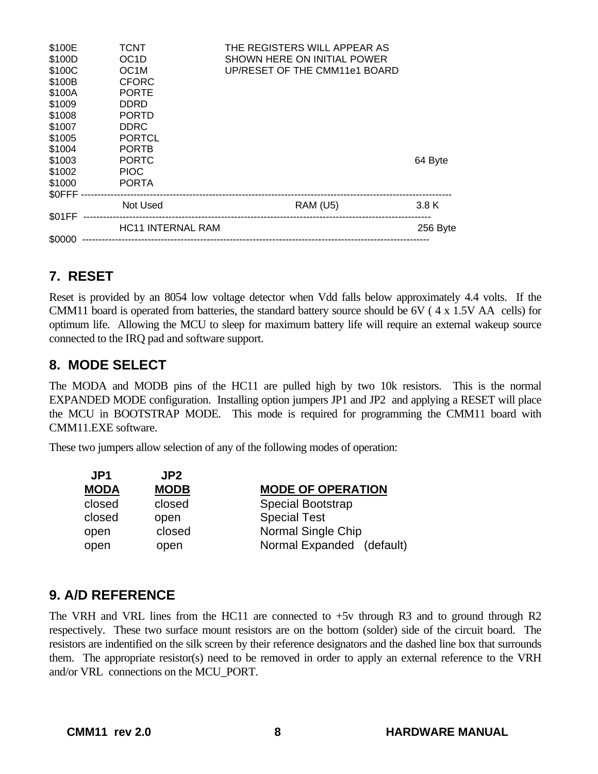| \$100E  | <b>TCNT</b>              | THE REGISTERS WILL APPEAR AS  |          |
|---------|--------------------------|-------------------------------|----------|
| \$100D  | OC <sub>1</sub> D        | SHOWN HERE ON INITIAL POWER   |          |
| \$100C  | OC <sub>1</sub> M        | UP/RESET OF THE CMM11e1 BOARD |          |
| \$100B  | <b>CFORC</b>             |                               |          |
| \$100A  | <b>PORTE</b>             |                               |          |
| \$1009  | <b>DDRD</b>              |                               |          |
| \$1008  | <b>PORTD</b>             |                               |          |
| \$1007  | <b>DDRC</b>              |                               |          |
| \$1005  | <b>PORTCL</b>            |                               |          |
| \$1004  | <b>PORTB</b>             |                               |          |
| \$1003  | <b>PORTC</b>             |                               | 64 Byte  |
| \$1002  | <b>PIOC</b>              |                               |          |
| \$1000  | <b>PORTA</b>             |                               |          |
| \$0FFF- |                          |                               |          |
|         | Not Used                 | <b>RAM (U5)</b>               | 3.8 K    |
| \$01FF  |                          |                               |          |
|         | <b>HC11 INTERNAL RAM</b> |                               | 256 Byte |
| \$0000  |                          |                               |          |

## **7. RESET**

Reset is provided by an 8054 low voltage detector when Vdd falls below approximately 4.4 volts. If the CMM11 board is operated from batteries, the standard battery source should be 6V ( 4 x 1.5V AA cells) for optimum life. Allowing the MCU to sleep for maximum battery life will require an external wakeup source connected to the IRQ pad and software support.

#### **8. MODE SELECT**

The MODA and MODB pins of the HC11 are pulled high by two 10k resistors. This is the normal EXPANDED MODE configuration. Installing option jumpers JP1 and JP2 and applying a RESET will place the MCU in BOOTSTRAP MODE. This mode is required for programming the CMM11 board with CMM11.EXE software.

These two jumpers allow selection of any of the following modes of operation:

| <b>MODE OF OPERATION</b>  |
|---------------------------|
| <b>Special Bootstrap</b>  |
| <b>Special Test</b>       |
| Normal Single Chip        |
| Normal Expanded (default) |
|                           |

## **9. A/D REFERENCE**

The VRH and VRL lines from the HC11 are connected to +5v through R3 and to ground through R2 respectively. These two surface mount resistors are on the bottom (solder) side of the circuit board. The resistors are indentified on the silk screen by their reference designators and the dashed line box that surrounds them. The appropriate resistor(s) need to be removed in order to apply an external reference to the VRH and/or VRL connections on the MCU\_PORT.